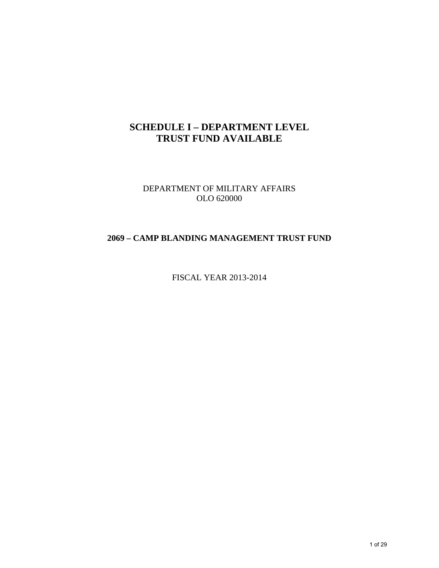## **SCHEDULE I – DEPARTMENT LEVEL TRUST FUND AVAILABLE**

DEPARTMENT OF MILITARY AFFAIRS OLO 620000

#### **2069 – CAMP BLANDING MANAGEMENT TRUST FUND**

FISCAL YEAR 2013-2014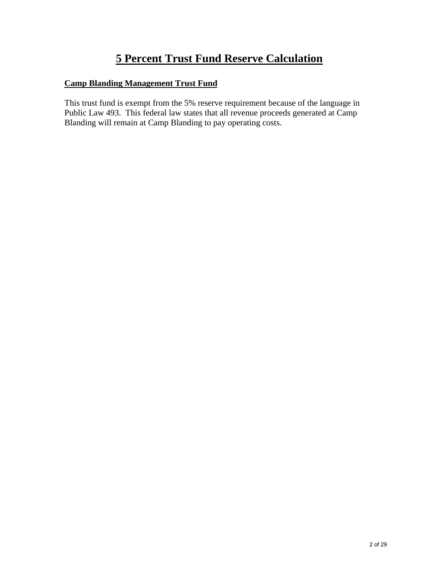# **5 Percent Trust Fund Reserve Calculation**

### **Camp Blanding Management Trust Fund**

This trust fund is exempt from the 5% reserve requirement because of the language in Public Law 493. This federal law states that all revenue proceeds generated at Camp Blanding will remain at Camp Blanding to pay operating costs.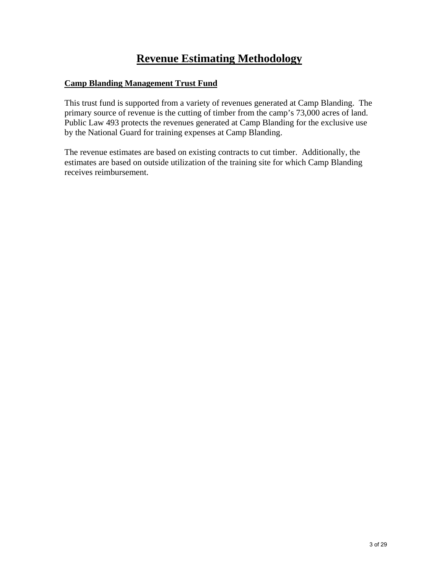# **Revenue Estimating Methodology**

#### **Camp Blanding Management Trust Fund**

This trust fund is supported from a variety of revenues generated at Camp Blanding. The primary source of revenue is the cutting of timber from the camp's 73,000 acres of land. Public Law 493 protects the revenues generated at Camp Blanding for the exclusive use by the National Guard for training expenses at Camp Blanding.

The revenue estimates are based on existing contracts to cut timber. Additionally, the estimates are based on outside utilization of the training site for which Camp Blanding receives reimbursement.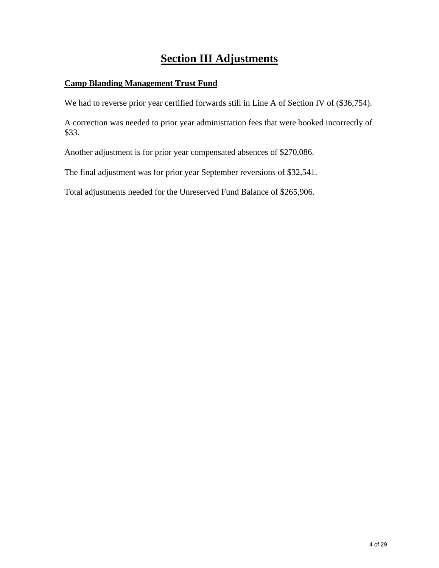# **Section III Adjustments**

#### **Camp Blanding Management Trust Fund**

We had to reverse prior year certified forwards still in Line A of Section IV of (\$36,754).

A correction was needed to prior year administration fees that were booked incorrectly of \$33.

Another adjustment is for prior year compensated absences of \$270,086.

The final adjustment was for prior year September reversions of \$32,541.

Total adjustments needed for the Unreserved Fund Balance of \$265,906.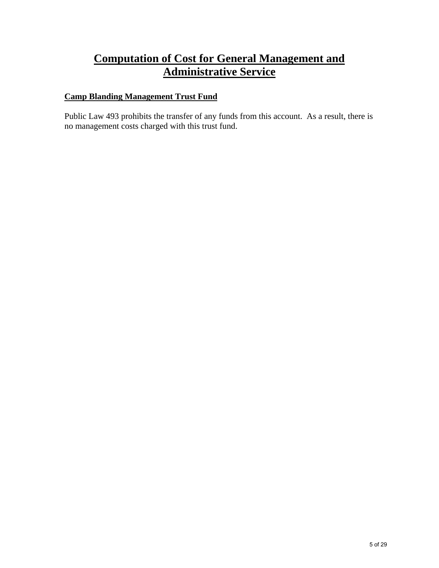## **Computation of Cost for General Management and Administrative Service**

### **Camp Blanding Management Trust Fund**

Public Law 493 prohibits the transfer of any funds from this account. As a result, there is no management costs charged with this trust fund.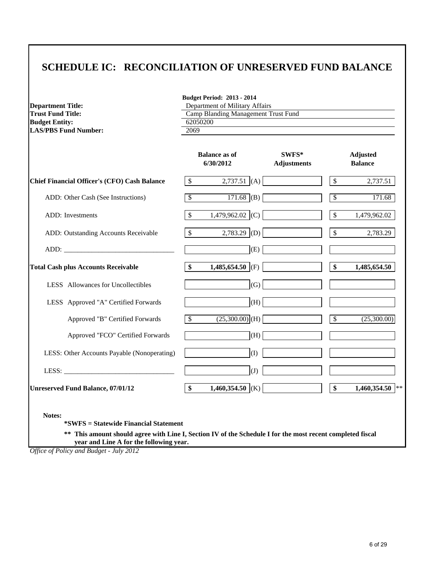## **SCHEDULE IC: RECONCILIATION OF UNRESERVED FUND BALANCE**

| <b>Department Title:</b>                                                                                                                                                                                                       | <b>Budget Period: 2013 - 2014</b><br>Department of Military Affairs |                                |                                    |  |  |  |
|--------------------------------------------------------------------------------------------------------------------------------------------------------------------------------------------------------------------------------|---------------------------------------------------------------------|--------------------------------|------------------------------------|--|--|--|
| <b>Trust Fund Title:</b>                                                                                                                                                                                                       | Camp Blanding Management Trust Fund                                 |                                |                                    |  |  |  |
| <b>Budget Entity:</b>                                                                                                                                                                                                          | 62050200                                                            |                                |                                    |  |  |  |
| <b>LAS/PBS Fund Number:</b>                                                                                                                                                                                                    | 2069                                                                |                                |                                    |  |  |  |
|                                                                                                                                                                                                                                | <b>Balance as of</b><br>6/30/2012                                   | $SWFS^*$<br><b>Adjustments</b> | <b>Adjusted</b><br><b>Balance</b>  |  |  |  |
| <b>Chief Financial Officer's (CFO) Cash Balance</b>                                                                                                                                                                            | $2,737.51$ (A)<br>$\mathcal{S}$                                     |                                | $\mathbb{S}$<br>2,737.51           |  |  |  |
| ADD: Other Cash (See Instructions)                                                                                                                                                                                             | $171.68$ (B)<br>$\overline{\mathcal{S}}$                            |                                | $\overline{\mathcal{S}}$<br>171.68 |  |  |  |
| ADD: Investments                                                                                                                                                                                                               | $\boldsymbol{\mathsf{S}}$<br>1,479,962.02 (C)                       |                                | \$<br>1,479,962.02                 |  |  |  |
| ADD: Outstanding Accounts Receivable                                                                                                                                                                                           | $\mathcal{S}$<br>2,783.29 (D)                                       |                                | \$<br>2,783.29                     |  |  |  |
| ADD: The contract of the contract of the contract of the contract of the contract of the contract of the contract of the contract of the contract of the contract of the contract of the contract of the contract of the contr |                                                                     | (E)                            |                                    |  |  |  |
| <b>Total Cash plus Accounts Receivable</b>                                                                                                                                                                                     | \$<br>1,485,654.50 (F)                                              |                                | \$<br>1,485,654.50                 |  |  |  |
| LESS Allowances for Uncollectibles                                                                                                                                                                                             |                                                                     | (G)                            |                                    |  |  |  |
| LESS Approved "A" Certified Forwards                                                                                                                                                                                           |                                                                     | (H)                            |                                    |  |  |  |
| Approved "B" Certified Forwards                                                                                                                                                                                                | $\overline{\mathcal{S}}$<br>$(25,300.00)$ (H)                       |                                | $\overline{\$}$<br>(25,300.00)     |  |  |  |
| Approved "FCO" Certified Forwards                                                                                                                                                                                              |                                                                     | (H)                            |                                    |  |  |  |
| LESS: Other Accounts Payable (Nonoperating)                                                                                                                                                                                    |                                                                     | (I)                            |                                    |  |  |  |
|                                                                                                                                                                                                                                |                                                                     | (J)                            |                                    |  |  |  |
| <b>Unreserved Fund Balance, 07/01/12</b>                                                                                                                                                                                       | \$<br>1,460,354.50 (K)                                              |                                | \$<br>1,460,354.50 **              |  |  |  |

 **year and Line A for the following year.**

*Office of Policy and Budget - July 2012*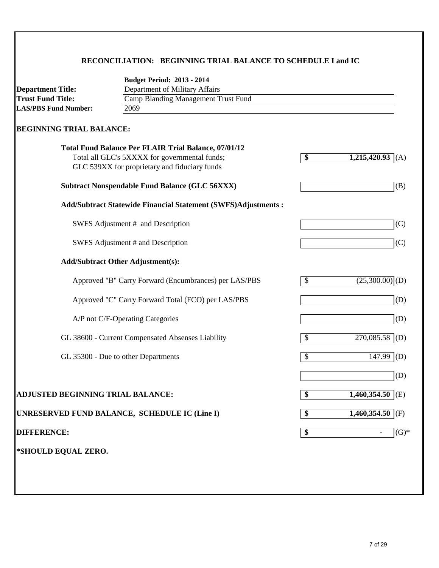### **RECONCILIATION: BEGINNING TRIAL BALANCE TO SCHEDULE I and IC**

|                                   | <b>Budget Period: 2013 - 2014</b>                                    |                                       |                               |
|-----------------------------------|----------------------------------------------------------------------|---------------------------------------|-------------------------------|
| <b>Department Title:</b>          | Department of Military Affairs                                       |                                       |                               |
| <b>Trust Fund Title:</b>          | <b>Camp Blanding Management Trust Fund</b>                           |                                       |                               |
| <b>LAS/PBS Fund Number:</b>       | 2069                                                                 |                                       |                               |
| <b>BEGINNING TRIAL BALANCE:</b>   |                                                                      |                                       |                               |
|                                   | <b>Total Fund Balance Per FLAIR Trial Balance, 07/01/12</b>          |                                       |                               |
|                                   | Total all GLC's 5XXXX for governmental funds;                        | $\overline{\boldsymbol{\mathcal{S}}}$ | 1,215,420.93<br>(A)           |
|                                   | GLC 539XX for proprietary and fiduciary funds                        |                                       |                               |
|                                   | <b>Subtract Nonspendable Fund Balance (GLC 56XXX)</b>                |                                       | (B)                           |
|                                   | <b>Add/Subtract Statewide Financial Statement (SWFS)Adjustments:</b> |                                       |                               |
|                                   | SWFS Adjustment # and Description                                    |                                       | (C)                           |
|                                   | SWFS Adjustment # and Description                                    |                                       | (C)                           |
|                                   | <b>Add/Subtract Other Adjustment(s):</b>                             |                                       |                               |
|                                   | Approved "B" Carry Forward (Encumbrances) per LAS/PBS                | \$                                    | $(25,300.00)$ <sub>(D)</sub>  |
|                                   | Approved "C" Carry Forward Total (FCO) per LAS/PBS                   |                                       | (D)                           |
|                                   | A/P not C/F-Operating Categories                                     |                                       | (D)                           |
|                                   | GL 38600 - Current Compensated Absenses Liability                    | $\boldsymbol{\mathsf{S}}$             | 270,085.58<br>(D)             |
|                                   | GL 35300 - Due to other Departments                                  | S                                     | 147.99<br>(D)                 |
|                                   |                                                                      |                                       | (D)                           |
| ADJUSTED BEGINNING TRIAL BALANCE: |                                                                      | \$                                    | $1,460,354.50$ <sup>(E)</sup> |
|                                   | UNRESERVED FUND BALANCE, SCHEDULE IC (Line I)                        | \$                                    | $1,460,354.50$ (F)            |
| <b>DIFFERENCE:</b>                |                                                                      | \$                                    | $(G)*$                        |
| *SHOULD EQUAL ZERO.               |                                                                      |                                       |                               |
|                                   |                                                                      |                                       |                               |
|                                   |                                                                      |                                       |                               |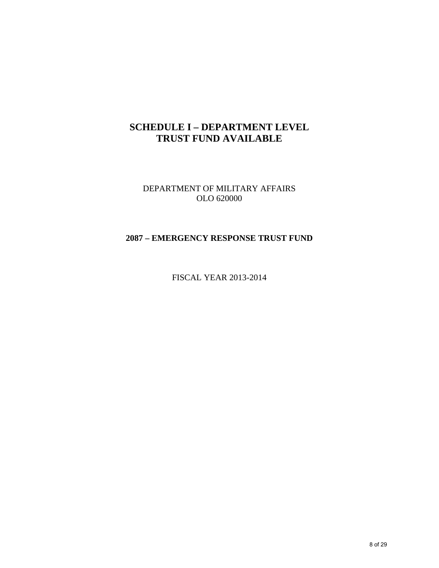## **SCHEDULE I – DEPARTMENT LEVEL TRUST FUND AVAILABLE**

DEPARTMENT OF MILITARY AFFAIRS OLO 620000

#### **2087 – EMERGENCY RESPONSE TRUST FUND**

FISCAL YEAR 2013-2014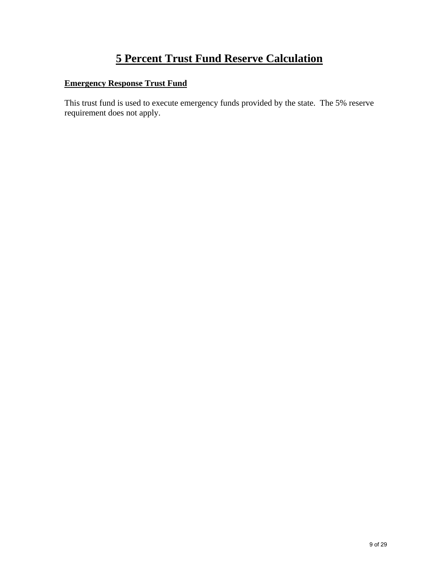# **5 Percent Trust Fund Reserve Calculation**

### **Emergency Response Trust Fund**

This trust fund is used to execute emergency funds provided by the state. The 5% reserve requirement does not apply.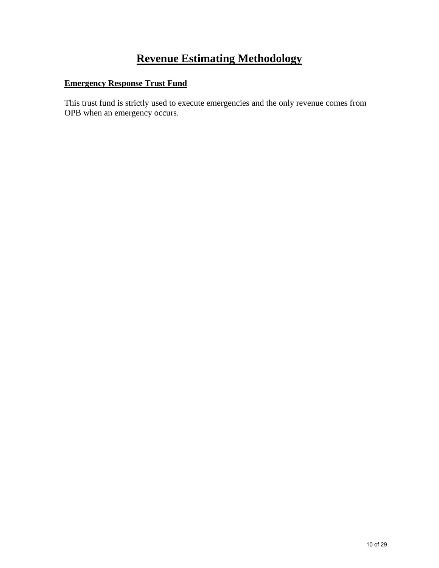# **Revenue Estimating Methodology**

### **Emergency Response Trust Fund**

This trust fund is strictly used to execute emergencies and the only revenue comes from OPB when an emergency occurs.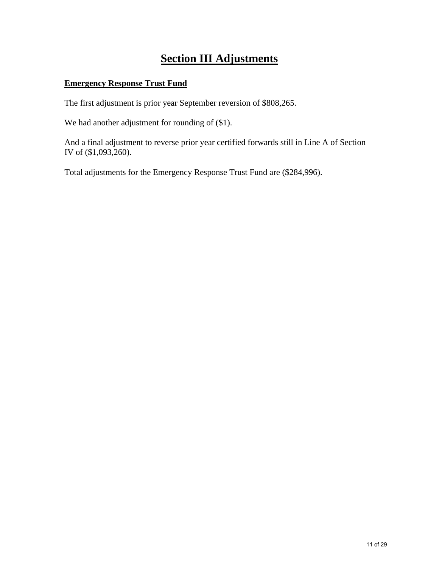# **Section III Adjustments**

#### **Emergency Response Trust Fund**

The first adjustment is prior year September reversion of \$808,265.

We had another adjustment for rounding of  $(\$1)$ .

And a final adjustment to reverse prior year certified forwards still in Line A of Section IV of (\$1,093,260).

Total adjustments for the Emergency Response Trust Fund are (\$284,996).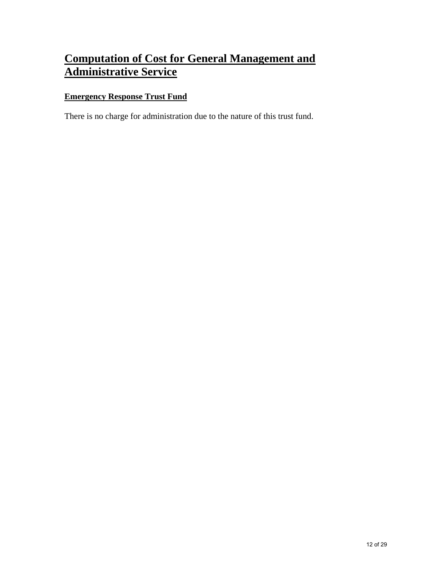# **Computation of Cost for General Management and Administrative Service**

### **Emergency Response Trust Fund**

There is no charge for administration due to the nature of this trust fund.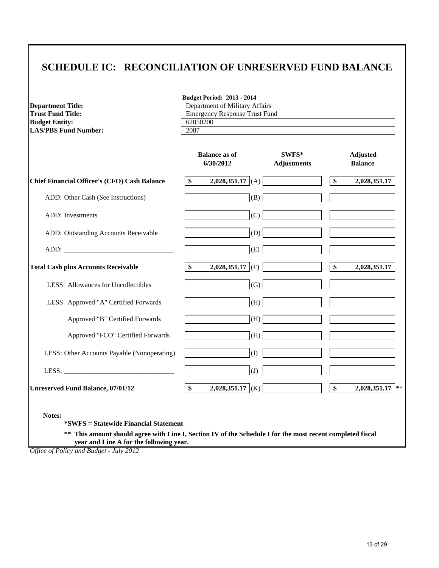## **SCHEDULE IC: RECONCILIATION OF UNRESERVED FUND BALANCE**

|                                                     | <b>Budget Period: 2013 - 2014</b><br>Department of Military Affairs<br><b>Department Title:</b> |                             |    |                                   |  |  |
|-----------------------------------------------------|-------------------------------------------------------------------------------------------------|-----------------------------|----|-----------------------------------|--|--|
| <b>Trust Fund Title:</b>                            | <b>Emergency Response Trust Fund</b>                                                            |                             |    |                                   |  |  |
| <b>Budget Entity:</b>                               | 62050200                                                                                        |                             |    |                                   |  |  |
| <b>LAS/PBS Fund Number:</b>                         | 2087                                                                                            |                             |    |                                   |  |  |
|                                                     | <b>Balance as of</b><br>6/30/2012                                                               | SWFS*<br><b>Adjustments</b> |    | <b>Adjusted</b><br><b>Balance</b> |  |  |
| <b>Chief Financial Officer's (CFO) Cash Balance</b> | $\boldsymbol{\$}$<br>2,028,351.17 $(A)$                                                         |                             | \$ | 2,028,351.17                      |  |  |
| ADD: Other Cash (See Instructions)                  | (B)                                                                                             |                             |    |                                   |  |  |
| <b>ADD</b> : Investments                            | (C)                                                                                             |                             |    |                                   |  |  |
| ADD: Outstanding Accounts Receivable                | (D)                                                                                             |                             |    |                                   |  |  |
|                                                     | (E)                                                                                             |                             |    |                                   |  |  |
| <b>Total Cash plus Accounts Receivable</b>          | $\boldsymbol{\hat{\mathsf{s}}}$<br>$2,028,351.17$ (F)                                           |                             | \$ | 2,028,351.17                      |  |  |
| LESS Allowances for Uncollectibles                  | (G)                                                                                             |                             |    |                                   |  |  |
| LESS Approved "A" Certified Forwards                | (H)                                                                                             |                             |    |                                   |  |  |
| Approved "B" Certified Forwards                     | (H)                                                                                             |                             |    |                                   |  |  |
| Approved "FCO" Certified Forwards                   | (H)                                                                                             |                             |    |                                   |  |  |
| LESS: Other Accounts Payable (Nonoperating)         | (I)                                                                                             |                             |    |                                   |  |  |
| LESS: $\qquad \qquad$                               | (J)                                                                                             |                             |    |                                   |  |  |
|                                                     | \$<br>2,028,351.17 (K)                                                                          |                             | \$ | $2,028,351.17$ **                 |  |  |

*Office of Policy and Budget - July 2012*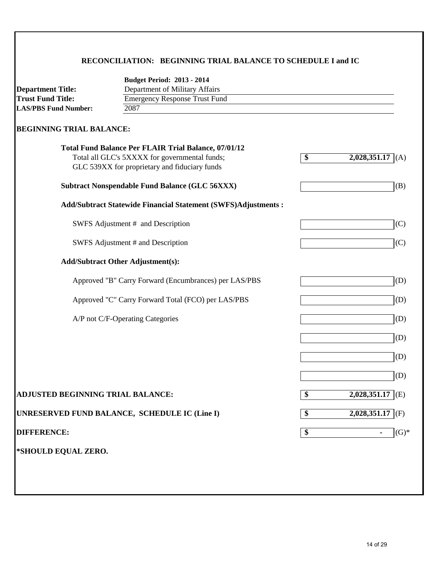### **RECONCILIATION: BEGINNING TRIAL BALANCE TO SCHEDULE I and IC**

|                                   | <b>Budget Period: 2013 - 2014</b>                              |                                                              |  |  |  |  |
|-----------------------------------|----------------------------------------------------------------|--------------------------------------------------------------|--|--|--|--|
| <b>Department Title:</b>          | Department of Military Affairs                                 |                                                              |  |  |  |  |
| <b>Trust Fund Title:</b>          | <b>Emergency Response Trust Fund</b>                           |                                                              |  |  |  |  |
| <b>LAS/PBS Fund Number:</b>       | 2087                                                           |                                                              |  |  |  |  |
| <b>BEGINNING TRIAL BALANCE:</b>   |                                                                |                                                              |  |  |  |  |
|                                   | <b>Total Fund Balance Per FLAIR Trial Balance, 07/01/12</b>    |                                                              |  |  |  |  |
|                                   | Total all GLC's 5XXXX for governmental funds;                  | $\overline{\boldsymbol{\mathcal{S}}}$<br>2,028,351.17<br>(A) |  |  |  |  |
|                                   | GLC 539XX for proprietary and fiduciary funds                  |                                                              |  |  |  |  |
|                                   | <b>Subtract Nonspendable Fund Balance (GLC 56XXX)</b>          | (B)                                                          |  |  |  |  |
|                                   | Add/Subtract Statewide Financial Statement (SWFS)Adjustments : |                                                              |  |  |  |  |
|                                   | SWFS Adjustment # and Description                              | (C)                                                          |  |  |  |  |
|                                   | SWFS Adjustment # and Description                              | (C)                                                          |  |  |  |  |
|                                   | <b>Add/Subtract Other Adjustment(s):</b>                       |                                                              |  |  |  |  |
|                                   | Approved "B" Carry Forward (Encumbrances) per LAS/PBS          | (D)                                                          |  |  |  |  |
|                                   | Approved "C" Carry Forward Total (FCO) per LAS/PBS             | (D)                                                          |  |  |  |  |
| A/P not C/F-Operating Categories  |                                                                | (D)                                                          |  |  |  |  |
|                                   |                                                                | (D)                                                          |  |  |  |  |
|                                   |                                                                | (D)                                                          |  |  |  |  |
|                                   |                                                                | (D)                                                          |  |  |  |  |
| ADJUSTED BEGINNING TRIAL BALANCE: |                                                                | $2,028,351.17$ (E)<br>$\overline{\boldsymbol{\theta}}$       |  |  |  |  |
|                                   | UNRESERVED FUND BALANCE, SCHEDULE IC (Line I)                  | $\overline{\boldsymbol{\theta}}$<br>$2,028,351.17$ (F)       |  |  |  |  |
| <b>DIFFERENCE:</b>                |                                                                | $(G)*$<br>\$                                                 |  |  |  |  |
| *SHOULD EQUAL ZERO.               |                                                                |                                                              |  |  |  |  |
|                                   |                                                                |                                                              |  |  |  |  |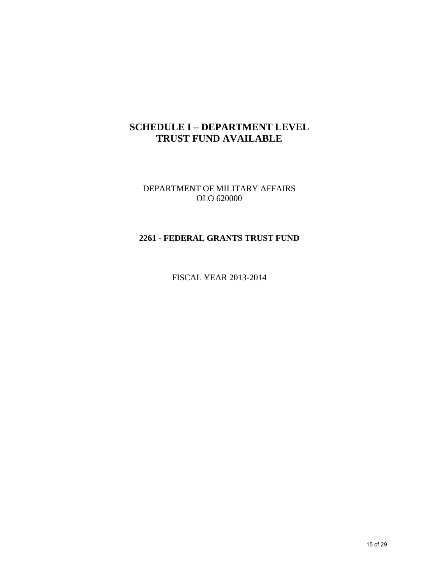## **SCHEDULE I – DEPARTMENT LEVEL TRUST FUND AVAILABLE**

DEPARTMENT OF MILITARY AFFAIRS OLO 620000

#### **2261 - FEDERAL GRANTS TRUST FUND**

FISCAL YEAR 2013-2014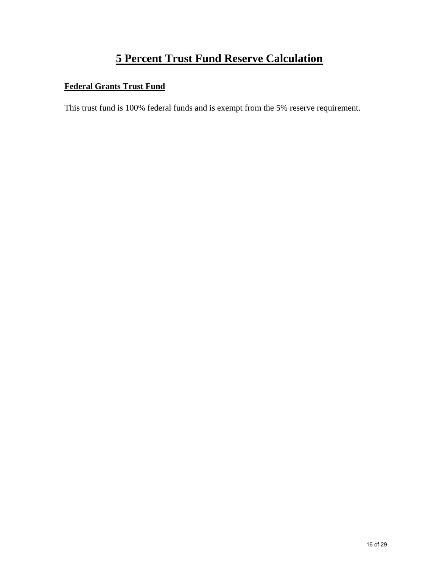# **5 Percent Trust Fund Reserve Calculation**

### **Federal Grants Trust Fund**

This trust fund is 100% federal funds and is exempt from the 5% reserve requirement.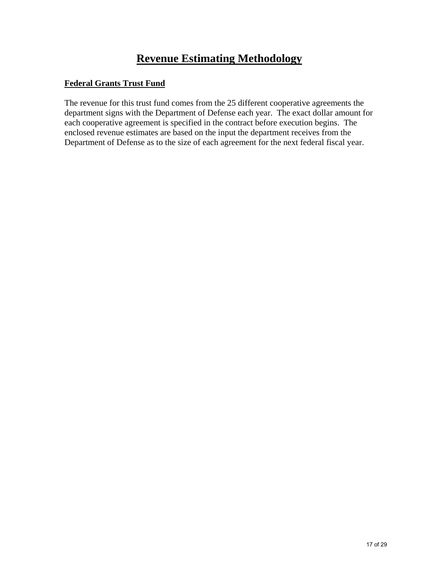# **Revenue Estimating Methodology**

#### **Federal Grants Trust Fund**

The revenue for this trust fund comes from the 25 different cooperative agreements the department signs with the Department of Defense each year. The exact dollar amount for each cooperative agreement is specified in the contract before execution begins. The enclosed revenue estimates are based on the input the department receives from the Department of Defense as to the size of each agreement for the next federal fiscal year.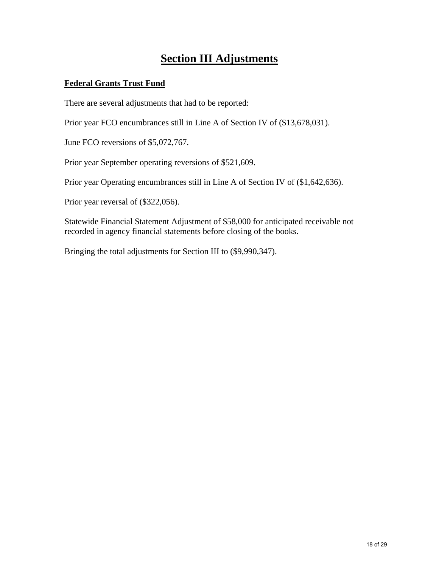## **Section III Adjustments**

#### **Federal Grants Trust Fund**

There are several adjustments that had to be reported:

Prior year FCO encumbrances still in Line A of Section IV of (\$13,678,031).

June FCO reversions of \$5,072,767.

Prior year September operating reversions of \$521,609.

Prior year Operating encumbrances still in Line A of Section IV of (\$1,642,636).

Prior year reversal of (\$322,056).

Statewide Financial Statement Adjustment of \$58,000 for anticipated receivable not recorded in agency financial statements before closing of the books.

Bringing the total adjustments for Section III to (\$9,990,347).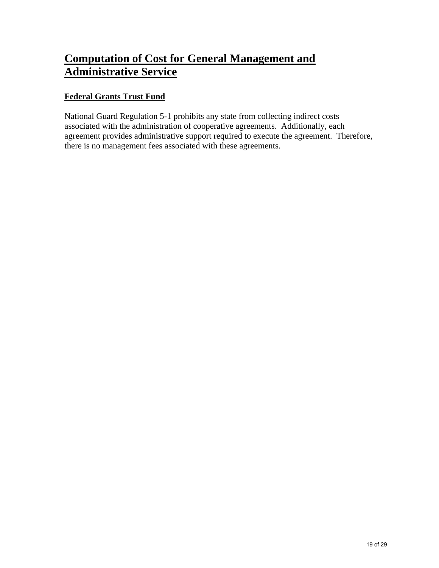# **Computation of Cost for General Management and Administrative Service**

### **Federal Grants Trust Fund**

National Guard Regulation 5-1 prohibits any state from collecting indirect costs associated with the administration of cooperative agreements. Additionally, each agreement provides administrative support required to execute the agreement. Therefore, there is no management fees associated with these agreements.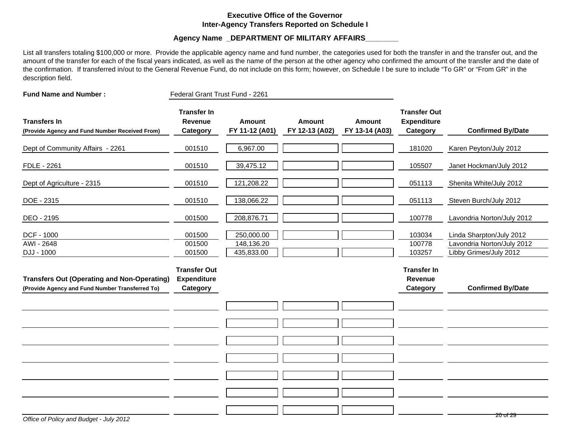#### **Executive Office of the GovernorInter-Agency Transfers Reported on Schedule I**

#### **Agency Name \_DEPARTMENT OF MILITARY AFFAIRS\_\_\_\_\_\_\_\_**

List all transfers totaling \$100,000 or more. Provide the applicable agency name and fund number, the categories used for both the transfer in and the transfer out, and the amount of the transfer for each of the fiscal years indicated, as well as the name of the person at the other agency who confirmed the amount of the transfer and the date of the confirmation. If transferred in/out to the General Revenue Fund, do not include on this form; however, on Schedule I be sure to include "To GR" or "From GR" in the description field.

| <b>Fund Name and Number:</b>                                                                          | Federal Grant Trust Fund - 2261                       |                                        |                                 |                                 |                                                       |                                                                                  |
|-------------------------------------------------------------------------------------------------------|-------------------------------------------------------|----------------------------------------|---------------------------------|---------------------------------|-------------------------------------------------------|----------------------------------------------------------------------------------|
| <b>Transfers In</b><br>(Provide Agency and Fund Number Received From)                                 | <b>Transfer In</b><br><b>Revenue</b><br>Category      | <b>Amount</b><br>FY 11-12 (A01)        | <b>Amount</b><br>FY 12-13 (A02) | <b>Amount</b><br>FY 13-14 (A03) | <b>Transfer Out</b><br><b>Expenditure</b><br>Category | <b>Confirmed By/Date</b>                                                         |
| Dept of Community Affairs - 2261                                                                      | 001510                                                | 6,967.00                               |                                 |                                 | 181020                                                | Karen Peyton/July 2012                                                           |
| FDLE - 2261                                                                                           | 001510                                                | 39,475.12                              |                                 |                                 | 105507                                                | Janet Hockman/July 2012                                                          |
| Dept of Agriculture - 2315                                                                            | 001510                                                | 121,208.22                             |                                 |                                 | 051113                                                | Shenita White/July 2012                                                          |
| DOE - 2315                                                                                            | 001510                                                | 138,066.22                             |                                 |                                 | 051113                                                | Steven Burch/July 2012                                                           |
| DEO - 2195                                                                                            | 001500                                                | 208,876.71                             |                                 |                                 | 100778                                                | Lavondria Norton/July 2012                                                       |
| DCF - 1000<br>AWI - 2648<br>DJJ - 1000                                                                | 001500<br>001500<br>001500                            | 250,000.00<br>148,136.20<br>435,833.00 |                                 |                                 | 103034<br>100778<br>103257                            | Linda Sharpton/July 2012<br>Lavondria Norton/July 2012<br>Libby Grimes/July 2012 |
| <b>Transfers Out (Operating and Non-Operating)</b><br>(Provide Agency and Fund Number Transferred To) | <b>Transfer Out</b><br><b>Expenditure</b><br>Category |                                        |                                 |                                 | <b>Transfer In</b><br>Revenue<br>Category             | <b>Confirmed By/Date</b>                                                         |
|                                                                                                       |                                                       |                                        |                                 |                                 |                                                       |                                                                                  |
|                                                                                                       |                                                       |                                        |                                 |                                 |                                                       |                                                                                  |
|                                                                                                       |                                                       |                                        |                                 |                                 |                                                       |                                                                                  |
|                                                                                                       |                                                       |                                        |                                 |                                 |                                                       |                                                                                  |
|                                                                                                       |                                                       |                                        |                                 |                                 |                                                       |                                                                                  |
|                                                                                                       |                                                       |                                        |                                 |                                 |                                                       |                                                                                  |
|                                                                                                       |                                                       |                                        |                                 |                                 |                                                       | <del>20 of 29</del>                                                              |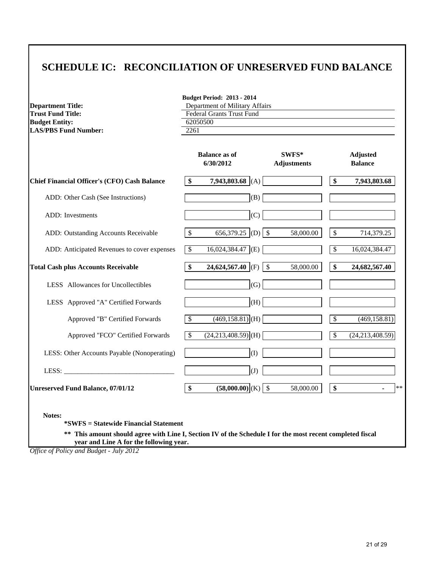## **SCHEDULE IC: RECONCILIATION OF UNRESERVED FUND BALANCE**

| <b>Department Title:</b>                            | <b>Budget Period: 2013 - 2014</b><br>Department of Military Affairs<br><b>Federal Grants Trust Fund</b> |                                   |                             |                 |                                   |  |
|-----------------------------------------------------|---------------------------------------------------------------------------------------------------------|-----------------------------------|-----------------------------|-----------------|-----------------------------------|--|
| <b>Trust Fund Title:</b>                            |                                                                                                         |                                   |                             |                 |                                   |  |
| <b>Budget Entity:</b>                               |                                                                                                         | 62050500                          |                             |                 |                                   |  |
| <b>LAS/PBS Fund Number:</b>                         | 2261                                                                                                    |                                   |                             |                 |                                   |  |
|                                                     |                                                                                                         |                                   |                             |                 |                                   |  |
|                                                     |                                                                                                         | <b>Balance as of</b><br>6/30/2012 | SWFS*<br><b>Adjustments</b> |                 | <b>Adjusted</b><br><b>Balance</b> |  |
| <b>Chief Financial Officer's (CFO) Cash Balance</b> | \$                                                                                                      | 7,943,803.68 (A)                  |                             | \$              | 7,943,803.68                      |  |
| ADD: Other Cash (See Instructions)                  |                                                                                                         | (B)                               |                             |                 |                                   |  |
| ADD: Investments                                    |                                                                                                         | (C)                               |                             |                 |                                   |  |
| ADD: Outstanding Accounts Receivable                | \$                                                                                                      | 656,379.25 (D) $\vert \$          | 58,000.00                   | \$              | 714,379.25                        |  |
| ADD: Anticipated Revenues to cover expenses         | $\overline{\mathcal{S}}$                                                                                | $16,024,384.47$ (E)               |                             | \$              | 16,024,384.47                     |  |
| <b>Total Cash plus Accounts Receivable</b>          | \$                                                                                                      | 24,624,567.40 (F)                 | $\mathcal{S}$<br>58,000.00  | \$              | 24,682,567.40                     |  |
| LESS Allowances for Uncollectibles                  |                                                                                                         | (G)                               |                             |                 |                                   |  |
| LESS Approved "A" Certified Forwards                |                                                                                                         | (H)                               |                             |                 |                                   |  |
| Approved "B" Certified Forwards                     | \$                                                                                                      | $(469, 158.81)$ (H)               |                             | \$              | (469, 158.81)                     |  |
| Approved "FCO" Certified Forwards                   | $\overline{\mathcal{S}}$                                                                                | $(24,213,408.59)$ (H)             |                             | $\overline{\$}$ | (24, 213, 408.59)                 |  |
| LESS: Other Accounts Payable (Nonoperating)         |                                                                                                         | (I)                               |                             |                 |                                   |  |
| LESS:                                               |                                                                                                         | (J)                               |                             |                 |                                   |  |
|                                                     | \$                                                                                                      | $(58,000.00)$ (K) \$              | 58,000.00                   | \$              | $**$                              |  |

 **year and Line A for the following year.**

*Office of Policy and Budget - July 2012*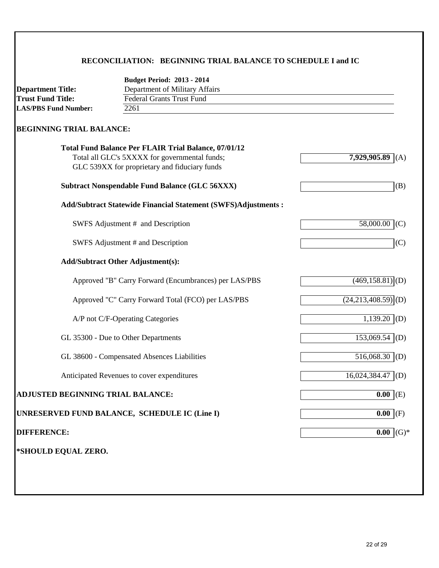### **RECONCILIATION: BEGINNING TRIAL BALANCE TO SCHEDULE I and IC**

|                                   | <b>Budget Period: 2013 - 2014</b>                              |                                  |
|-----------------------------------|----------------------------------------------------------------|----------------------------------|
| <b>Department Title:</b>          | Department of Military Affairs                                 |                                  |
| <b>Trust Fund Title:</b>          | <b>Federal Grants Trust Fund</b>                               |                                  |
| <b>LAS/PBS Fund Number:</b>       | 2261                                                           |                                  |
| <b>BEGINNING TRIAL BALANCE:</b>   |                                                                |                                  |
|                                   | <b>Total Fund Balance Per FLAIR Trial Balance, 07/01/12</b>    |                                  |
|                                   | Total all GLC's 5XXXX for governmental funds;                  | 7,929,905.89<br>(A)              |
|                                   | GLC 539XX for proprietary and fiduciary funds                  |                                  |
|                                   | <b>Subtract Nonspendable Fund Balance (GLC 56XXX)</b>          | (B)                              |
|                                   | Add/Subtract Statewide Financial Statement (SWFS)Adjustments : |                                  |
|                                   | SWFS Adjustment # and Description                              | 58,000.00<br>(C)                 |
|                                   | SWFS Adjustment # and Description                              | (C)                              |
|                                   | <b>Add/Subtract Other Adjustment(s):</b>                       |                                  |
|                                   | Approved "B" Carry Forward (Encumbrances) per LAS/PBS          | $(469, 158.81)$ <sub>(D)</sub>   |
|                                   | Approved "C" Carry Forward Total (FCO) per LAS/PBS             | $(24,213,408.59)$ <sup>(D)</sup> |
|                                   | A/P not C/F-Operating Categories                               | $1,139.20$ (D)                   |
|                                   | GL 35300 - Due to Other Departments                            | $153,069.54$ (D)                 |
|                                   | GL 38600 - Compensated Absences Liabilities                    | 516,068.30 (D)                   |
|                                   | Anticipated Revenues to cover expenditures                     | 16,024,384.47<br>(D)             |
| ADJUSTED BEGINNING TRIAL BALANCE: |                                                                | $\overline{0.00}$ (E)            |
|                                   | UNRESERVED FUND BALANCE, SCHEDULE IC (Line I)                  | $\overline{0.00}$ (F)            |
| <b>DIFFERENCE:</b>                |                                                                | $0.00$ (G)*                      |
| *SHOULD EQUAL ZERO.               |                                                                |                                  |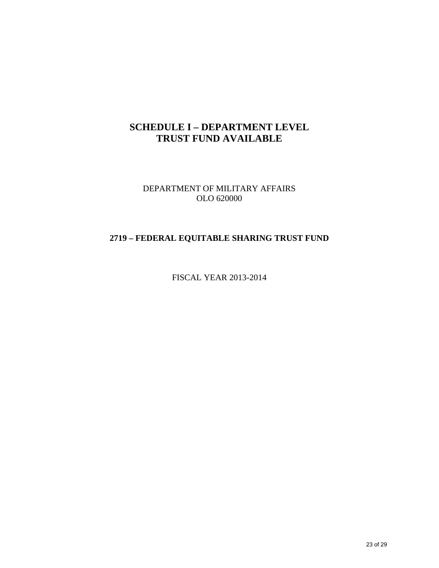## **SCHEDULE I – DEPARTMENT LEVEL TRUST FUND AVAILABLE**

DEPARTMENT OF MILITARY AFFAIRS OLO 620000

### **2719 – FEDERAL EQUITABLE SHARING TRUST FUND**

FISCAL YEAR 2013-2014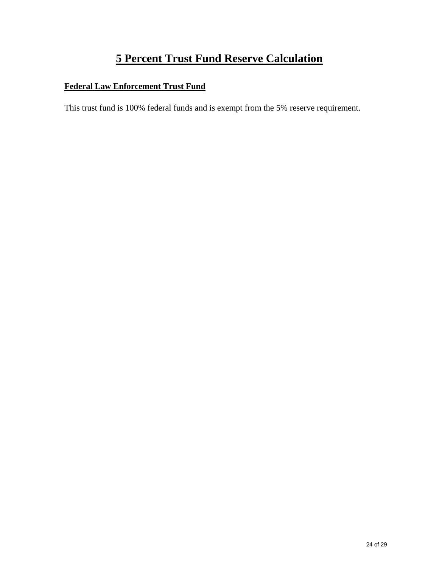# **5 Percent Trust Fund Reserve Calculation**

### **Federal Law Enforcement Trust Fund**

This trust fund is 100% federal funds and is exempt from the 5% reserve requirement.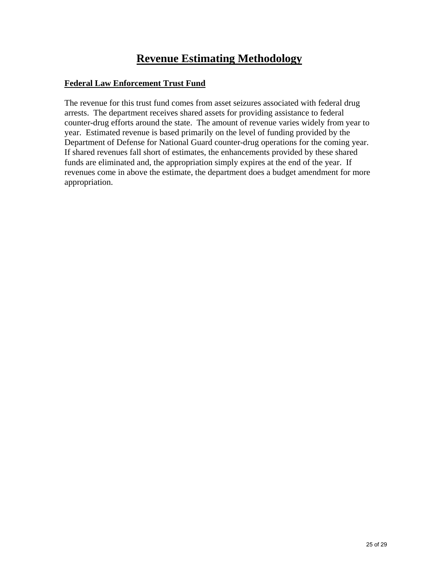# **Revenue Estimating Methodology**

#### **Federal Law Enforcement Trust Fund**

The revenue for this trust fund comes from asset seizures associated with federal drug arrests. The department receives shared assets for providing assistance to federal counter-drug efforts around the state. The amount of revenue varies widely from year to year. Estimated revenue is based primarily on the level of funding provided by the Department of Defense for National Guard counter-drug operations for the coming year. If shared revenues fall short of estimates, the enhancements provided by these shared funds are eliminated and, the appropriation simply expires at the end of the year. If revenues come in above the estimate, the department does a budget amendment for more appropriation.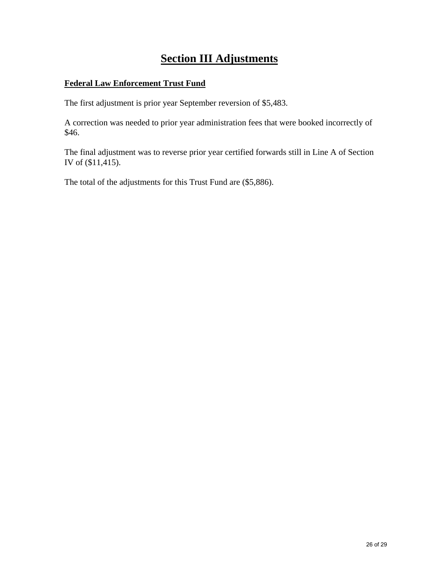# **Section III Adjustments**

#### **Federal Law Enforcement Trust Fund**

The first adjustment is prior year September reversion of \$5,483.

A correction was needed to prior year administration fees that were booked incorrectly of \$46.

The final adjustment was to reverse prior year certified forwards still in Line A of Section IV of (\$11,415).

The total of the adjustments for this Trust Fund are (\$5,886).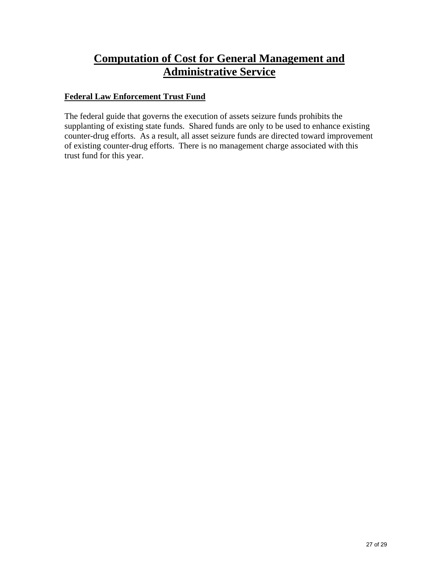## **Computation of Cost for General Management and Administrative Service**

### **Federal Law Enforcement Trust Fund**

The federal guide that governs the execution of assets seizure funds prohibits the supplanting of existing state funds. Shared funds are only to be used to enhance existing counter-drug efforts. As a result, all asset seizure funds are directed toward improvement of existing counter-drug efforts. There is no management charge associated with this trust fund for this year.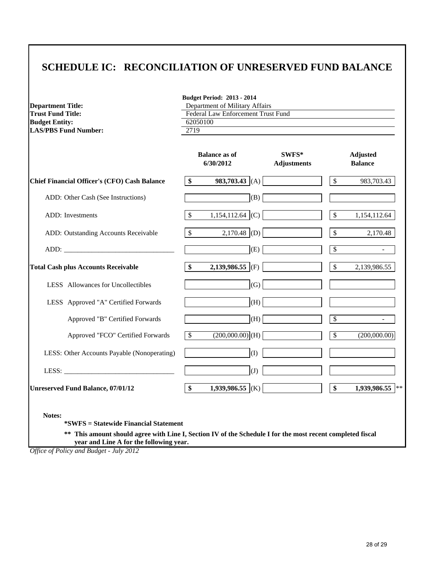## **SCHEDULE IC: RECONCILIATION OF UNRESERVED FUND BALANCE**

| <b>Budget Period: 2013 - 2014</b><br>Department of Military Affairs |                    |                                  |                          |                                   |  |  |
|---------------------------------------------------------------------|--------------------|----------------------------------|--------------------------|-----------------------------------|--|--|
| <b>Federal Law Enforcement Trust Fund</b>                           |                    |                                  |                          |                                   |  |  |
|                                                                     |                    |                                  |                          |                                   |  |  |
|                                                                     |                    |                                  |                          |                                   |  |  |
|                                                                     | 6/30/2012          | SWFS*<br><b>Adjustments</b>      |                          | <b>Adjusted</b><br><b>Balance</b> |  |  |
| \$                                                                  |                    |                                  | \$                       | 983,703.43                        |  |  |
|                                                                     | (B)                |                                  |                          |                                   |  |  |
| \$                                                                  | $1,154,112.64$ (C) |                                  | \$                       | 1,154,112.64                      |  |  |
| $\mathcal{S}$                                                       | $2,170.48$ (D)     |                                  | $\mathsf{\$}$            | 2,170.48                          |  |  |
|                                                                     | (E)                |                                  | \$                       | $\blacksquare$                    |  |  |
| $\boldsymbol{\$}$                                                   | 2,139,986.55 (F)   |                                  | $\mathbb{S}$             | 2,139,986.55                      |  |  |
|                                                                     | (G)                |                                  |                          |                                   |  |  |
|                                                                     | (H)                |                                  |                          |                                   |  |  |
|                                                                     | (H)                |                                  | $\overline{\mathcal{S}}$ | $\sim$                            |  |  |
| $\overline{\mathcal{S}}$                                            | $(200,000.00)$ (H) |                                  | $\overline{\$}$          | (200,000.00)                      |  |  |
|                                                                     | (I)                |                                  |                          |                                   |  |  |
|                                                                     | (J)                |                                  |                          |                                   |  |  |
| $\boldsymbol{\$}$                                                   | 1,939,986.55 (K)   |                                  | \$                       | $1,939,986.55$ **                 |  |  |
|                                                                     | 2719               | 62050100<br><b>Balance as of</b> | 983,703.43 (A)           |                                   |  |  |

*Office of Policy and Budget - July 2012*